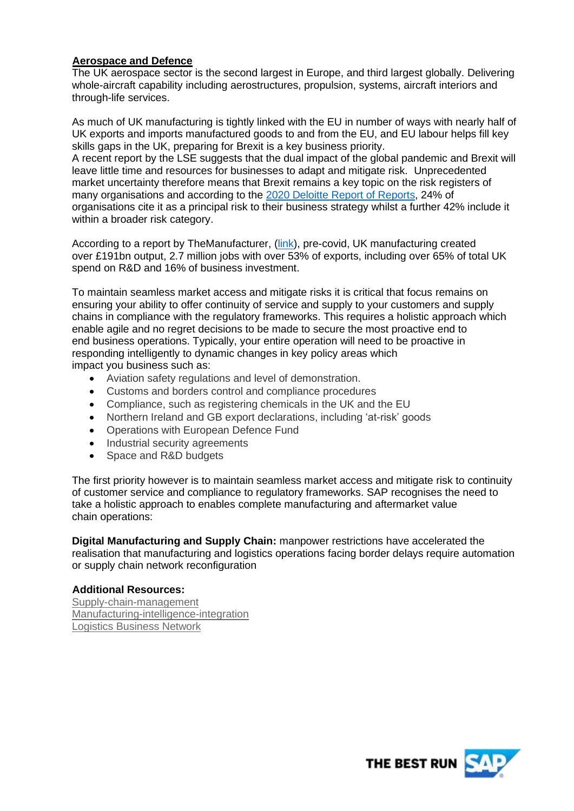## **Aerospace and Defence**

The UK aerospace sector is the second largest in Europe, and third largest globally. Delivering whole-aircraft capability including aerostructures, propulsion, systems, aircraft interiors and through-life services.

As much of UK manufacturing is tightly linked with the EU in number of ways with nearly half of UK exports and imports manufactured goods to and from the EU, and EU labour helps fill key skills gaps in the UK, preparing for Brexit is a key business priority.

A recent report by the LSE suggests that the dual impact of the global pandemic and Brexit will leave little time and resources for businesses to adapt and mitigate risk. Unprecedented market uncertainty therefore means that Brexit remains a key topic on the risk registers of many organisations and according to the [2020 Deloitte Report of Reports,](https://www2.deloitte.com/uk/en/pages/audit/articles/annual-report-insights-2020.html) 24% of organisations cite it as a principal risk to their business strategy whilst a further 42% include it within a broader risk category.

According to a report by TheManufacturer, [\(link\)](https://www.themanufacturer.com/articles/uk-manufacturing-facts-191bn-output-2-7-million-jobs-53-exports/), pre-covid, UK manufacturing created over £191bn output, 2.7 million jobs with over 53% of exports, including over 65% of total UK spend on R&D and 16% of business investment.

To maintain seamless market access and mitigate risks it is critical that focus remains on ensuring your ability to offer continuity of service and supply to your customers and supply chains in compliance with the regulatory frameworks. This requires a holistic approach which enable agile and no regret decisions to be made to secure the most proactive end to end business operations. Typically, your entire operation will need to be proactive in responding intelligently to dynamic changes in key policy areas which impact you business such as:

- Aviation safety regulations and level of demonstration.
- Customs and borders control and compliance procedures
- Compliance, such as registering chemicals in the UK and the EU
- Northern Ireland and GB export declarations, including 'at-risk' goods
- Operations with European Defence Fund
- Industrial security agreements
- Space and R&D budgets

The first priority however is to maintain seamless market access and mitigate risk to continuity of customer service and compliance to regulatory frameworks. SAP recognises the need to take a holistic approach to enables complete manufacturing and aftermarket value chain operations:

**Digital Manufacturing and Supply Chain:** manpower restrictions have accelerated the realisation that manufacturing and logistics operations facing border delays require automation or supply chain network reconfiguration

## **Additional Resources:**

[Supply-chain-management](https://www.sap.com/uk/products/supply-chain-management.html?url_id=ctabutton-uk-icon-products-iotsc) [Manufacturing-intelligence-integration](https://www.sap.com/uk/products/supply-chain-management.html?url_id=ctabutton-uk-icon-products-iotsc) [Logistics Business Network](https://www.sap.com/uk/products/manufacturing-intelligence-integration.html)